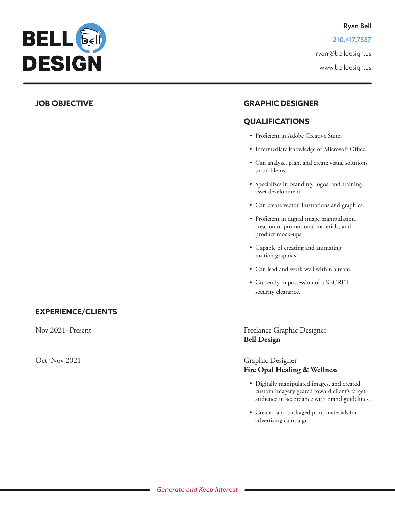

**210.417.7557**

ryan@belldesign.us

www.belldesign.us

# **JOB OBJECTIVE GRAPHIC DESIGNER**

## **QUALIFICATIONS**

- Proficient in Adobe Creative Suite.
- Intermediate knowledge of Microsoft Office.
- Can analyze, plan, and create visual solutions to problems.
- Specializes in branding, logos, and training asset development.
- Can create vector illustrations and graphics.
- Proficient in digital image manipulation, creation of promotional materials, and product mock-ups.
- Capable of creating and animating motion graphics.
- Can lead and work well within a team.
- Currently in possession of a SECRET security clearance.

# **EXPERIENCE/CLIENTS**

## Nov 2021–Present Freelance Graphic Designer  **Bell Design**

## Oct–Nov 2021 Graphic Designer **Fire Opal Healing & Wellness**

- Digitally manipulated images, and created custom imagery geared toward client's target audience in accordance with brand guidelines.
- Created and packaged print materials for advertising campaign.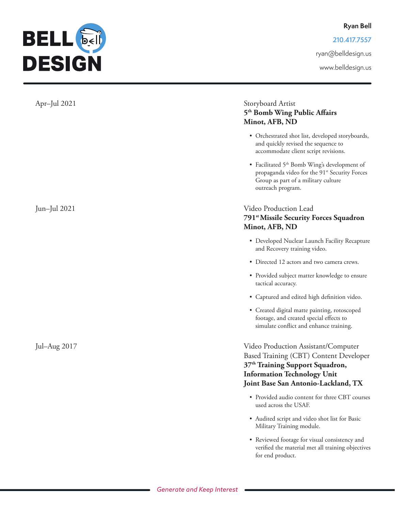**210.417.7557**

ryan@belldesign.us

www.belldesign.us



## Apr–Jul 2021 Storyboard Artist **5th Bomb Wing Public Affairs Minot, AFB, ND**

- Orchestrated shot list, developed storyboards, and quickly revised the sequence to accommodate client script revisions.
- Facilitated 5<sup>th</sup> Bomb Wing's development of propaganda video for the 91<sup>st</sup> Security Forces Group as part of a military culture outreach program.

## Jun–Jul 2021 Video Production Lead  **791st Missile Security Forces Squadron Minot, AFB, ND**

- Developed Nuclear Launch Facility Recapture and Recovery training video.
- Directed 12 actors and two camera crews.
- Provided subject matter knowledge to ensure tactical accuracy.
- Captured and edited high definition video.
- Created digital matte painting, rotoscoped footage, and created special effects to simulate conflict and enhance training.

Jul–Aug 2017 Video Production Assistant/Computer Based Training (CBT) Content Developer  **37th Training Support Squadron, Information Technology Unit Joint Base San Antonio-Lackland, TX**

- Provided audio content for three CBT courses used across the USAF.
- Audited script and video shot list for Basic Military Training module.
- Reviewed footage for visual consistency and verified the material met all training objectives for end product.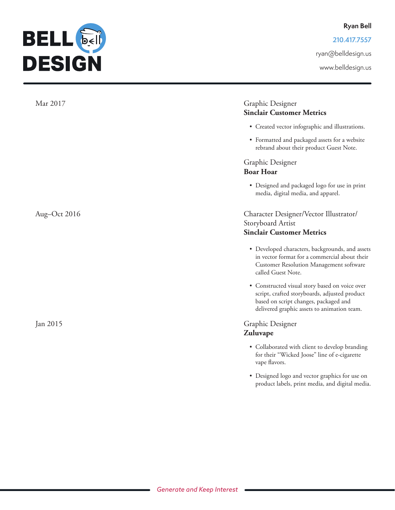**210.417.7557**

ryan@belldesign.us

www.belldesign.us



**BELL** 

**DESIGN**